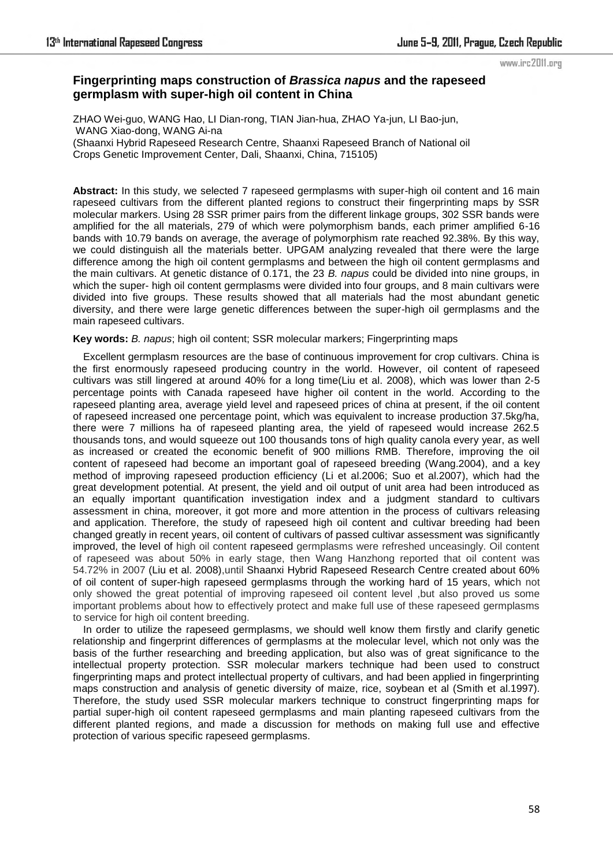#### www.irc2011.org

# **Fingerprinting maps construction of** *Brassica napus* **and the rapeseed germplasm with super-high oil content in China**

ZHAO Wei-guo, WANG Hao, LI Dian-rong, TIAN Jian-hua, ZHAO Ya-jun, LI Bao-jun, WANG Xiao-dong, WANG Ai-na (Shaanxi Hybrid Rapeseed Research Centre, Shaanxi Rapeseed Branch of National oil Crops Genetic Improvement Center, Dali, Shaanxi, China, 715105)

**Abstract:** In this study, we selected 7 rapeseed germplasms with super-high oil content and 16 main rapeseed cultivars from the different planted regions to construct their fingerprinting maps by SSR molecular markers. Using 28 SSR primer pairs from the different linkage groups, 302 SSR bands were amplified for the all materials, 279 of which were polymorphism bands, each primer amplified 6-16 bands with 10.79 bands on average, the average of polymorphism rate reached 92.38%. By this way, we could distinguish all the materials better. UPGAM analyzing revealed that there were the large difference among the high oil content germplasms and between the high oil content germplasms and the main cultivars. At genetic distance of 0.171, the 23 *B. napus* could be divided into nine groups, in which the super- high oil content germplasms were divided into four groups, and 8 main cultivars were divided into five groups. These results showed that all materials had the most abundant genetic diversity, and there were large genetic differences between the super-high oil germplasms and the main rapeseed cultivars.

#### **Key words:** *B. napus*; high oil content; SSR molecular markers; Fingerprinting maps

Excellent germplasm resources are the base of continuous improvement for crop cultivars. China is the first enormously rapeseed producing country in the world. However, oil content of rapeseed cultivars was still lingered at around 40% for a long time(Liu et al. 2008), which was lower than 2-5 percentage points with Canada rapeseed have higher oil content in the world. According to the rapeseed planting area, average yield level and rapeseed prices of china at present, if the oil content of rapeseed increased one percentage point, which was equivalent to increase production 37.5kg/ha, there were 7 millions ha of rapeseed planting area, the yield of rapeseed would increase 262.5 thousands tons, and would squeeze out 100 thousands tons of high quality canola every year, as well as increased or created the economic benefit of 900 millions RMB. Therefore, improving the oil content of rapeseed had become an important goal of rapeseed breeding (Wang.2004), and a key method of improving rapeseed production efficiency (Li et al.2006; Suo et al.2007), which had the great development potential. At present, the yield and oil output of unit area had been introduced as an equally important quantification investigation index and a judgment standard to cultivars assessment in china, moreover, it got more and more attention in the process of cultivars releasing and application. Therefore, the study of rapeseed high oil content and cultivar breeding had been changed greatly in recent years, oil content of cultivars of passed cultivar assessment was significantly improved, the level of high oil content rapeseed germplasms were refreshed unceasingly. Oil content of rapeseed was about 50% in early stage, then Wang Hanzhong reported that oil content was 54.72% in 2007 (Liu et al. 2008),until Shaanxi Hybrid Rapeseed Research Centre created about 60% of oil content of super-high rapeseed germplasms through the working hard of 15 years, which not only showed the great potential of improving rapeseed oil content level ,but also proved us some important problems about how to effectively protect and make full use of these rapeseed germplasms to service for high oil content breeding.

In order to utilize the rapeseed germplasms, we should well know them firstly and clarify genetic relationship and fingerprint differences of germplasms at the molecular level, which not only was the basis of the further researching and breeding application, but also was of great significance to the intellectual property protection. SSR molecular markers technique had been used to construct fingerprinting maps and protect intellectual property of cultivars, and had been applied in fingerprinting maps construction and analysis of genetic diversity of maize, rice, soybean et al (Smith et al.1997). Therefore, the study used SSR molecular markers technique to construct fingerprinting maps for partial super-high oil content rapeseed germplasms and main planting rapeseed cultivars from the different planted regions, and made a discussion for methods on making full use and effective protection of various specific rapeseed germplasms.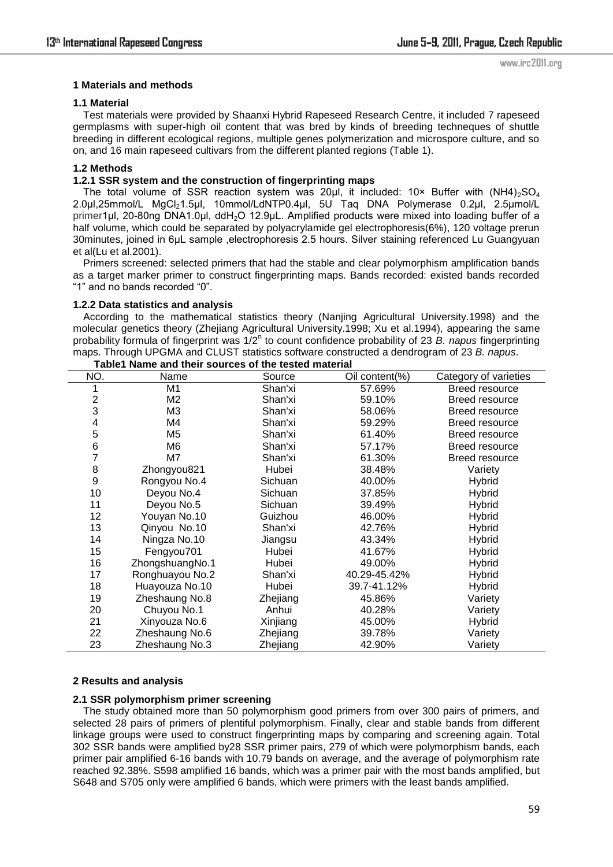# **1 Materials and methods**

#### **1.1 Material**

Test materials were provided by Shaanxi Hybrid Rapeseed Research Centre, it included 7 rapeseed germplasms with super-high oil content that was bred by kinds of breeding techneques of shuttle breeding in different ecological regions, multiple genes polymerization and microspore culture, and so on, and 16 main rapeseed cultivars from the different planted regions (Table 1).

## **1.2 Methods**

# **1.2.1 SSR system and the construction of fingerprinting maps**

The total volume of SSR reaction system was 20µl, it included: 10× Buffer with  $(NH4)_2SO_4$ 2.0μl,25mmol/L MgCl<sub>2</sub>1.5μl, 10mmol/LdNTP0.4μl, 5U Taq DNA Polymerase 0.2μl, 2.5μmol/L primer1μl, 20-80ng DNA1.0μl, ddH2O 12.9μL. Amplified products were mixed into loading buffer of a half volume, which could be separated by polyacrylamide gel electrophoresis(6%), 120 voltage prerun 30minutes, joined in 6μL sample ,electrophoresis 2.5 hours. Silver staining referenced Lu Guangyuan et al(Lu et al.2001).

Primers screened: selected primers that had the stable and clear polymorphism amplification bands as a target marker primer to construct fingerprinting maps. Bands recorded: existed bands recorded "1" and no bands recorded "0".

#### **1.2.2 Data statistics and analysis**

According to the mathematical statistics theory (Nanjing Agricultural University.1998) and the molecular genetics theory (Zhejiang Agricultural University.1998; Xu et al.1994), appearing the same probability formula of fingerprint was 1/2<sup>n</sup> to count confidence probability of 23 B. napus fingerprinting maps. Through UPGMA and CLUST statistics software constructed a dendrogram of 23 *B. napus*. **Table1 Name and their sources of the tested material**

|               |                 | <b>SUBJOCS OF THE RESIDENT HOLD FOR</b> |                |                       |
|---------------|-----------------|-----------------------------------------|----------------|-----------------------|
| NO.           | Name            | Source                                  | Oil content(%) | Category of varieties |
|               | M1              | Shan'xi                                 | 57.69%         | Breed resource        |
| $\frac{2}{3}$ | M <sub>2</sub>  | Shan'xi                                 | 59.10%         | Breed resource        |
|               | M3              | Shan'xi                                 | 58.06%         | Breed resource        |
| 4             | M4              | Shan'xi                                 | 59.29%         | Breed resource        |
| 5             | M <sub>5</sub>  | Shan'xi                                 | 61.40%         | Breed resource        |
| 6             | M <sub>6</sub>  | Shan'xi                                 | 57.17%         | Breed resource        |
| 7             | M7              | Shan'xi                                 | 61.30%         | Breed resource        |
| 8             | Zhongyou821     | Hubei                                   | 38.48%         | Variety               |
| 9             | Rongyou No.4    | Sichuan                                 | 40.00%         | Hybrid                |
| 10            | Deyou No.4      | Sichuan                                 | 37.85%         | <b>Hybrid</b>         |
| 11            | Deyou No.5      | Sichuan                                 | 39.49%         | Hybrid                |
| 12            | Youyan No.10    | Guizhou                                 | 46.00%         | Hybrid                |
| 13            | Qinyou No.10    | Shan'xi                                 | 42.76%         | Hybrid                |
| 14            | Ningza No.10    | Jiangsu                                 | 43.34%         | Hybrid                |
| 15            | Fengyou701      | Hubei                                   | 41.67%         | Hybrid                |
| 16            | ZhongshuangNo.1 | Hubei                                   | 49.00%         | Hybrid                |
| 17            | Ronghuayou No.2 | Shan'xi                                 | 40.29-45.42%   | <b>Hybrid</b>         |
| 18            | Huayouza No.10  | Hubei                                   | 39.7-41.12%    | <b>Hybrid</b>         |
| 19            | Zheshaung No.8  | Zhejiang                                | 45.86%         | Variety               |
| 20            | Chuyou No.1     | Anhui                                   | 40.28%         | Variety               |
| 21            | Xinyouza No.6   | Xinjiang                                | 45.00%         | <b>Hybrid</b>         |
| 22            | Zheshaung No.6  | Zhejiang                                | 39.78%         | Variety               |
| 23            | Zheshaung No.3  | Zhejiang                                | 42.90%         | Variety               |

## **2 Results and analysis**

## **2.1 SSR polymorphism primer screening**

The study obtained more than 50 polymorphism good primers from over 300 pairs of primers, and selected 28 pairs of primers of plentiful polymorphism. Finally, clear and stable bands from different linkage groups were used to construct fingerprinting maps by comparing and screening again. Total 302 SSR bands were amplified by28 SSR primer pairs, 279 of which were polymorphism bands, each primer pair amplified 6-16 bands with 10.79 bands on average, and the average of polymorphism rate reached 92.38%. S598 amplified 16 bands, which was a primer pair with the most bands amplified, but S648 and S705 only were amplified 6 bands, which were primers with the least bands amplified.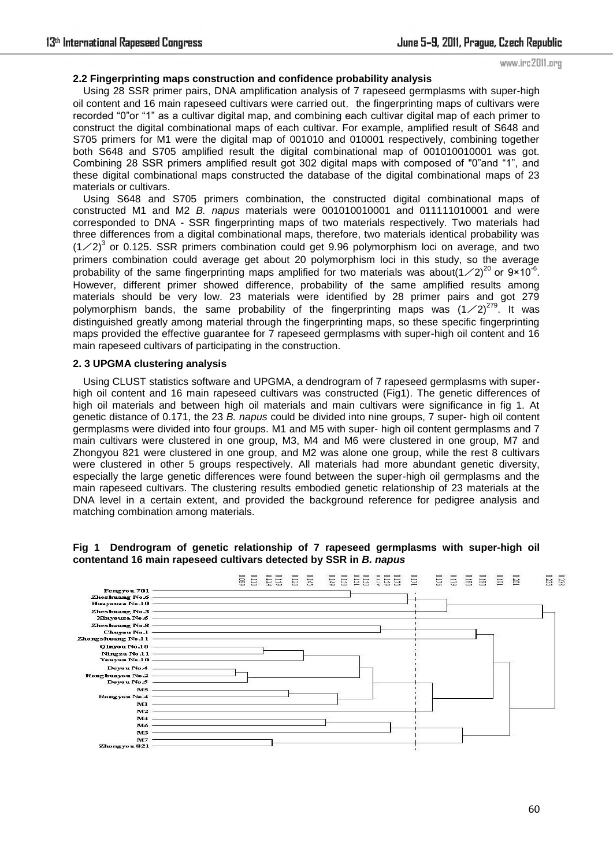www.irc2011.org

# **2.2 Fingerprinting maps construction and confidence probability analysis**

Using 28 SSR primer pairs, DNA amplification analysis of 7 rapeseed germplasms with super-high oil content and 16 main rapeseed cultivars were carried out, the fingerprinting maps of cultivars were recorded "0"or "1" as a cultivar digital map, and combining each cultivar digital map of each primer to construct the digital combinational maps of each cultivar. For example, amplified result of S648 and S705 primers for M1 were the digital map of 001010 and 010001 respectively, combining together both S648 and S705 amplified result the digital combinational map of 001010010001 was got. Combining 28 SSR primers amplified result got 302 digital maps with composed of "0"and "1", and these digital combinational maps constructed the database of the digital combinational maps of 23 materials or cultivars.

Using S648 and S705 primers combination, the constructed digital combinational maps of constructed M1 and M2 *B. napus* materials were 001010010001 and 011111010001 and were corresponded to DNA - SSR fingerprinting maps of two materials respectively. Two materials had three differences from a digital combinational maps, therefore, two materials identical probability was  $(1/2)^3$  or 0.125. SSR primers combination could get 9.96 polymorphism loci on average, and two primers combination could average get about 20 polymorphism loci in this study, so the average probability of the same fingerprinting maps amplified for two materials was about $(1 \times 2)^{20}$  or 9×10<sup>-6</sup>. However, different primer showed difference, probability of the same amplified results among materials should be very low. 23 materials were identified by 28 primer pairs and got 279 polymorphism bands, the same probability of the fingerprinting maps was  $(1/2)^{279}$ . It was distinguished greatly among material through the fingerprinting maps, so these specific fingerprinting maps provided the effective guarantee for 7 rapeseed germplasms with super-high oil content and 16 main rapeseed cultivars of participating in the construction.

# **2. 3 UPGMA clustering analysis**

Using CLUST statistics software and UPGMA, a dendrogram of 7 rapeseed germplasms with superhigh oil content and 16 main rapeseed cultivars was constructed (Fig1). The genetic differences of high oil materials and between high oil materials and main cultivars were significance in fig 1. At genetic distance of 0.171, the 23 *B. napus* could be divided into nine groups, 7 super- high oil content germplasms were divided into four groups. M1 and M5 with super- high oil content germplasms and 7 main cultivars were clustered in one group, M3, M4 and M6 were clustered in one group, M7 and Zhongyou 821 were clustered in one group, and M2 was alone one group, while the rest 8 cultivars were clustered in other 5 groups respectively. All materials had more abundant genetic diversity, especially the large genetic differences were found between the super-high oil germplasms and the main rapeseed cultivars. The clustering results embodied genetic relationship of 23 materials at the DNA level in a certain extent, and provided the background reference for pedigree analysis and matching combination among materials.

## **Fig 1 Dendrogram of genetic relationship of 7 rapeseed germplasms with super-high oil contentand 16 main rapeseed cultivars detected by SSR in** *B. napus*

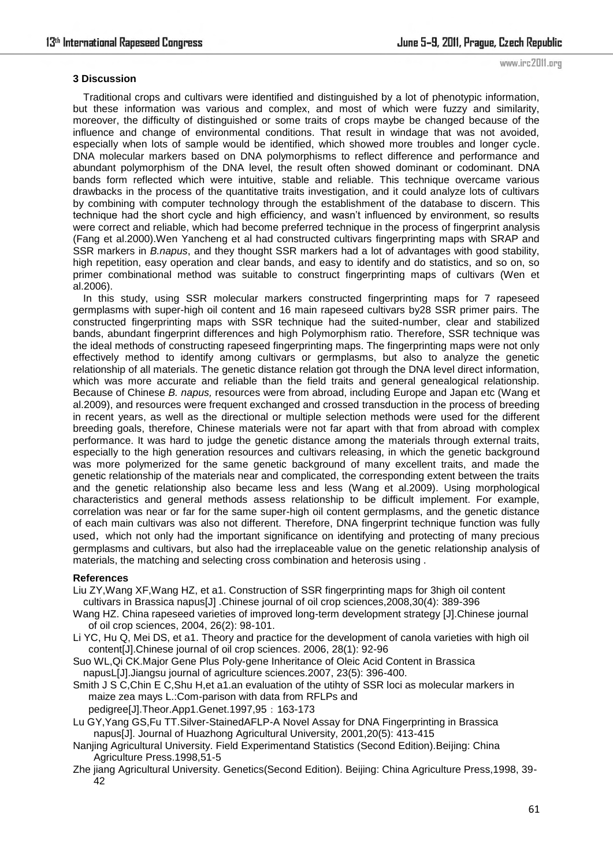#### **3 Discussion**

www.irc2011.org

Traditional crops and cultivars were identified and distinguished by a lot of phenotypic information, but these information was various and complex, and most of which were fuzzy and similarity, moreover, the difficulty of distinguished or some traits of crops maybe be changed because of the influence and change of environmental conditions. That result in windage that was not avoided, especially when lots of sample would be identified, which showed more troubles and longer cycle. DNA molecular markers based on DNA polymorphisms to reflect difference and performance and abundant polymorphism of the DNA level, the result often showed dominant or codominant. DNA bands form reflected which were intuitive, stable and reliable. This technique overcame various drawbacks in the process of the quantitative traits investigation, and it could analyze lots of cultivars by combining with computer technology through the establishment of the database to discern. This technique had the short cycle and high efficiency, and wasn"t influenced by environment, so results were correct and reliable, which had become preferred technique in the process of fingerprint analysis (Fang et al.2000).Wen Yancheng et al had constructed cultivars fingerprinting maps with SRAP and SSR markers in *B.napus*, and they thought SSR markers had a lot of advantages with good stability, high repetition, easy operation and clear bands, and easy to identify and do statistics, and so on, so primer combinational method was suitable to construct fingerprinting maps of cultivars (Wen et al.2006).

In this study, using SSR molecular markers constructed fingerprinting maps for 7 rapeseed germplasms with super-high oil content and 16 main rapeseed cultivars by28 SSR primer pairs. The constructed fingerprinting maps with SSR technique had the suited-number, clear and stabilized bands, abundant fingerprint differences and high Polymorphism ratio. Therefore, SSR technique was the ideal methods of constructing rapeseed fingerprinting maps. The fingerprinting maps were not only effectively method to identify among cultivars or germplasms, but also to analyze the genetic relationship of all materials. The genetic distance relation got through the DNA level direct information, which was more accurate and reliable than the field traits and general genealogical relationship. Because of Chinese *B. napus,* resources were from abroad, including Europe and Japan etc (Wang et al.2009), and resources were frequent exchanged and crossed transduction in the process of breeding in recent years, as well as the directional or multiple selection methods were used for the different breeding goals, therefore, Chinese materials were not far apart with that from abroad with complex performance. It was hard to judge the genetic distance among the materials through external traits, especially to the high generation resources and cultivars releasing, in which the genetic background was more polymerized for the same genetic background of many excellent traits, and made the genetic relationship of the materials near and complicated, the corresponding extent between the traits and the genetic relationship also became less and less (Wang et al.2009). Using morphological characteristics and general methods assess relationship to be difficult implement. For example, correlation was near or far for the same super-high oil content germplasms, and the genetic distance of each main cultivars was also not different. Therefore, DNA fingerprint technique function was fully used, which not only had the important significance on identifying and protecting of many precious germplasms and cultivars, but also had the irreplaceable value on the genetic relationship analysis of materials, the matching and selecting cross combination and heterosis using .

## **References**

Liu ZY,Wang XF,Wang HZ, et a1. Construction of SSR fingerprinting maps for 3high oil content cultivars in Brassica napus[J] .Chinese journal of oil crop sciences,2008,30(4): 389-396

- Wang HZ. China rapeseed varieties of improved long-term development strategy [J].Chinese journal of oil crop sciences, 2004, 26(2): 98-101.
- Li YC, Hu Q, Mei DS, et a1. Theory and practice for the development of canola varieties with high oil content[J].Chinese journal of oil crop sciences. 2006, 28(1): 92-96
- Suo WL,Qi CK.Major Gene Plus Poly-gene Inheritance of Oleic Acid Content in Brassica napusL[J].Jiangsu journal of agriculture sciences.2007, 23(5): 396-400.
- Smith J S C,Chin E C,Shu H,et a1.an evaluation of the utihty of SSR loci as molecular markers in maize zea mays L.:Com-parison with data from RFLPs and
	- pedigree[J].Theor.App1.Genet.1997,95:163-173
- Lu GY,Yang GS,Fu TT.Silver-StainedAFLP-A Novel Assay for DNA Fingerprinting in Brassica napus[J]. Journal of Huazhong Agricultural University, 2001,20(5): 413-415
- Nanjing Agricultural University. Field Experimentand Statistics (Second Edition).Beijing: China Agriculture Press.1998,51-5
- Zhe jiang Agricultural University. Genetics(Second Edition). Beijing: China Agriculture Press,1998, 39- 42